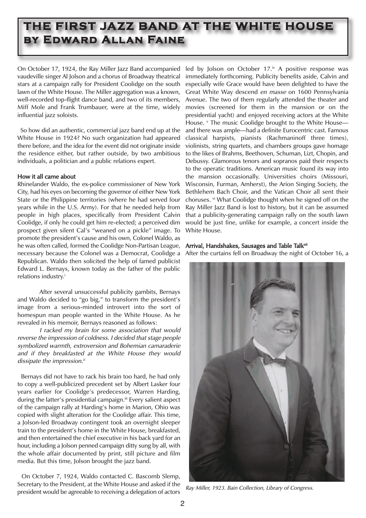# **THE FIRST JAZZ BAND AT THE WHITE HOUSE by Edward Allan Faine**

On October 17, 1924, the Ray Miller Jazz Band accompanied led by Jolson on October 17.<sup>iv</sup> A positive response was vaudeville singer Al Jolson and a chorus of Broadway theatrical stars at a campaign rally for President Coolidge on the south lawn of the White House. The Miller aggregation was a known, well-recorded top-flight dance band, and two of its members, Miff Mole and Frank Trumbauer, were at the time, widely influential jazz soloists.

So how did an authentic, commercial jazz band end up at the White House in 1924? No such organization had appeared there before, and the idea for the event did not originate inside the residence either, but rather outside, by two ambitious individuals, a politician and a public relations expert.

## How it all came about

Rhinelander Waldo, the ex-police commissioner of New York City, had his eyes on becoming the governor of either New York State or the Philippine territories (where he had served four years while in the U.S. Army). For that he needed help from people in high places, specifically from President Calvin Coolidge, if only he could get him re-elected; a perceived dim prospect given silent Cal's "weaned on a pickle" image. To promote the president's cause and his own, Colonel Waldo, as he was often called, formed the Coolidge Non-Partisan League, necessary because the Colonel was a Democrat, Coolidge a Republican. Waldo then solicited the help of famed publicist Edward L. Bernays, known today as the father of the public relations industry.<sup>i</sup>

After several unsuccessful publicity gambits, Bernays and Waldo decided to "go big," to transform the president's image from a serious-minded introvert into the sort of homespun man people wanted in the White House. As he revealed in his memoir, Bernays reasoned as follows:

I racked my brain for some association that would reverse the impression of coldness. I decided that stage people symbolized warmth, extroversion and Bohemian camaraderie and if they breakfasted at the White House they would dissipate the impression. $i$ 

Bernays did not have to rack his brain too hard, he had only to copy a well-publicized precedent set by Albert Lasker four years earlier for Coolidge's predecessor, Warren Harding, during the latter's presidential campaign.<sup>ii</sup> Every salient aspect of the campaign rally at Harding's home in Marion, Ohio was copied with slight alteration for the Coolidge affair. This time, a Jolson-led Broadway contingent took an overnight sleeper train to the president's home in the White House, breakfasted, and then entertained the chief executive in his back yard for an hour, including a Jolson penned campaign ditty sung by all, with the whole affair documented by print, still picture and film media. But this time, Jolson brought the jazz band.

On October 7, 1924, Waldo contacted C. Bascomb Slemp, Secretary to the President, at the White House and asked if the president would be agreeable to receiving a delegation of actors

immediately forthcoming. Publicity benefits aside, Calvin and especially wife Grace would have been delighted to have the Great White Way descend en masse on 1600 Pennsylvania Avenue. The two of them regularly attended the theater and movies (screened for them in the mansion or on the presidential yacht) and enjoyed receiving actors at the White House. <sup>v</sup> The music Coolidge brought to the White Houseand there was ample—had a definite Eurocentric cast. Famous classical harpists, pianists (Rachmaninoff three times), violinists, string quartets, and chambers groups gave homage to the likes of Brahms, Beethoven, Schuman, Lizt, Chopin, and Debussy. Glamorous tenors and sopranos paid their respects to the operatic traditions. American music found its way into the mansion occasionally. Universities choirs (Missouri, Wisconsin, Furman, Amherst), the Arion Singing Society, the Bethlehem Bach Choir, and the Vatican Choir all sent their choruses. vi What Coolidge thought when he signed off on the Ray Miller Jazz Band is lost to history, but it can be assumed that a publicity-generating campaign rally on the south lawn would be just fine, unlike for example, a concert inside the White House.

## Arrival, Handshakes, Sausages and Table Talkvii

After the curtains fell on Broadway the night of October 16, a



Ray Miller, 1923. Bain Collection, Library of Congress.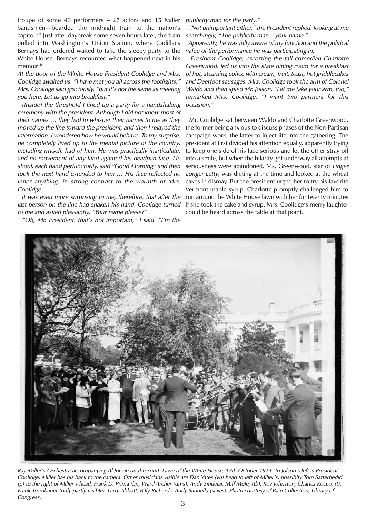troupe of some 40 performers – 27 actors and 15 Miller bandsmen—boarded the midnight train to the nation's capitol.<sup>viii</sup> Just after daybreak some seven hours later, the train pulled into Washington's Union Station, where Cadillacs Bernays had ordered waited to take the sleepy party to the White House. Bernays recounted what happened next in his memoir:<sup>ix</sup>

At the door of the White House President Coolidge and Mrs. Coolidge awaited us. "I have met you all across the footlights," Mrs. Coolidge said graciously, "but it's not the same as meeting you here. Let us go into breakfast."

[Inside] the threshold I lined up a party for a handshaking ceremony with the president. Although I did not know most of their names … they had to whisper their names to me as they moved up the line toward the president, and then I relayed the information. I wondered how he would behave. To my surprise, he completely lived up to the mental picture of the country, including myself, had of him. He was practically inarticulate, and no movement of any kind agitated his deadpan face. He shook each hand perfunctorily, said "Good Morning" and then took the next hand extended to him … His face reflected no inner anything, in strong contrast to the warmth of Mrs. Coolidge.

It was even more surprising to me, therefore, that after the last person on the line had shaken his hand, Coolidge turned to me and asked pleasantly, "Your name please?"

"Oh, Mr. President, that's not important," I said. "I'm the

publicity man for the party."

"Not unimportant either," the President replied, looking at me searchingly, "The publicity man – your name."

Apparently, he was fully aware of my function and the political value of the performance he was participating in.

President Coolidge, escorting the tall comedian Charlotte Greenwood, led us into the state dining room for a breakfast of hot, steaming coffee with cream, fruit, toast, hot griddlecakes and Deerfoot sausages. Mrs. Coolidge took the arm of Colonel Waldo and then spied Mr. Jolson. "Let me take your arm, too," remarked Mrs. Coolidge. "I want two partners for this occasion."

Mr. Coolidge sat between Waldo and Charlotte Greenwood, the former being anxious to discuss phases of the Non-Partisan campaign work, the latter to inject life into the gathering. The president at first divided his attention equally, apparently trying to keep one side of his face serious and let the other stray off into a smile, but when the hilarity got underway all attempts at seriousness were abandoned. Ms. Greenwood, star of Linger Longer Letty, was dieting at the time and looked at the wheat cakes in dismay. But the president urged her to try his favorite Vermont maple syrup. Charlotte promptly challenged him to run around the White House lawn with her for twenty minutes if she took the cake and syrup. Mrs. Coolidge's merry laughter could be heard across the table at that point.



Ray Miller's Orchestra accompanying Al Jolson on the South Lawn of the White House, 17th October 1924. To Jolson's left is President Coolidge, Miller has his back to the camera. Other musicians visible are Dan Yates (vn) head to left of Miller's, possiblty Tom Satterfiedld (p) to the right of Miller's head, Frank Di Prima (bj), Ward Archer (dms), Andy Sindelar, Miff Mole, (tb), Roy Johnston, Charles Rocco, (t), Frank Trumbauer (only partly visible), Larry Abbott, Billy Richards, Andy Sannella (saxes). Photo courtesy of Bain Collection, Library of Congress.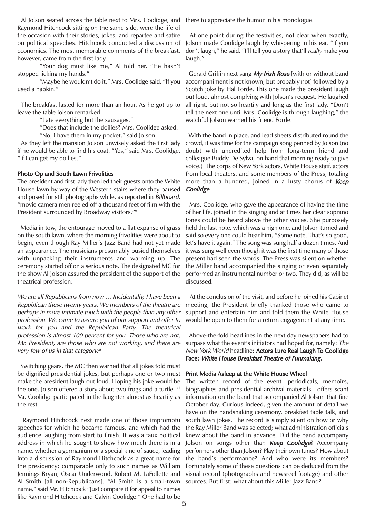Al Jolson seated across the table next to Mrs. Coolidge, and Raymond Hitchcock sitting on the same side, were the life of the occasion with their stories, jokes, and repartee and satire on political speeches. Hitchcock conducted a discussion of economics. The most memorable comments of the breakfast, however, came from the first lady.

"Your dog must like me," Al told her. "He hasn't stopped licking my hands."

"Maybe he wouldn't do it," Mrs. Coolidge said, "If you used a napkin."

The breakfast lasted for more than an hour. As he got up to leave the table Jolson remarked:

"I ate everything but the sausages."

"Does that include the doilies? Mrs, Coolidge asked.

"No, I have them in my pocket," said Jolson.

As they left the mansion Jolson unwisely asked the first lady if he would be able to find his coat. "Yes," said Mrs. Coolidge. "If I can get my doilies."

#### Photo Op and South Lawn Frivolities

The president and first lady then led their guests onto the White House lawn by way of the Western stairs where they paused and posed for still photographs while, as reported in Billboard, "movie camera men reeled off a thousand feet of film with the President surrounded by Broadway visitors."x

Media in tow, the entourage moved to a flat expanse of grass on the south lawn, where the morning frivolities were about to begin, even though Ray Miller's Jazz Band had not yet made an appearance. The musicians presumably busied themselves with unpacking their instruments and warming up. The ceremony started off on a serious note. The designated MC for the show Al Jolson assured the president of the support of the theatrical profession:

We are all Republicans from now ... Incidentally, I have been a Republican these twenty years. We members of the theatre are perhaps in more intimate touch with the people than any other profession. We came to assure you of our support and offer to work for you and the Republican Party. The theatrical profession is almost 100 percent for you. Those who are not, Mr. President, are those who are not working, and there are very few of us in that category. $x^{i}$ 

Switching gears, the MC then warned that all jokes told must be dignified presidential jokes, but perhaps one or two must make the president laugh out loud. Hoping his joke would be the one, Jolson offered a story about two frogs and a turtle. xii Mr. Coolidge participated in the laughter almost as heartily as the rest.

Raymond Hitchcock next made one of those impromptu speeches for which he became famous, and which had the audience laughing from start to finish. It was a faux political address in which he sought to show how much there is in a name, whether a germanium or a special kind of sauce, leading into a discussion of Raymond Hitchcock as a great name for the presidency; comparable only to such names as William Jennings Bryan; Oscar Underwood, Robert M. LaFollette and Al Smith [all non-Republicans]. "Al Smith is a small-town name," said Mr. Hitchcock "Just compare it for appeal to names like Raymond Hitchcock and Calvin Coolidge." One had to be

there to appreciate the humor in his monologue.

At one point during the festivities, not clear when exactly, Jolson made Coolidge laugh by whispering in his ear. "If you don't laugh," he said. "I'll tell you a story that'll really make you laugh."

Gerald Griffin next sang My Irish Rose [with or without band accompaniment is not known, but probably not] followed by a Scotch joke by Hal Forde. This one made the president laugh out loud, almost complying with Jolson's request. He laughed all right, but not so heartily and long as the first lady. "Don't tell the next one until Mrs. Coolidge is through laughing," the watchful Jolson warned his friend Forde.

With the band in place, and lead sheets distributed round the crowd, it was time for the campaign song penned by Jolson (no doubt with uncredited help from long-term friend and colleague Buddy De Sylva, on hand that morning ready to give voice.) The corps of New York actors, White House staff, actors from local theaters, and some members of the Press, totaling more than a hundred, joined in a lusty chorus of **Keep** Coolidge.

Mrs. Coolidge, who gave the appearance of having the time of her life, joined in the singing and at times her clear soprano tones could be heard above the other voices. She purposely held the last note, which was a high one, and Jolson turned and said so every one could hear him, "Some note. That's so good, let's have it again." The song was sung half a dozen times. And it was sung well even though it was the first time many of those present had seen the words. The Press was silent on whether the Miller band accompanied the singing or even separately performed an instrumental number or two. They did, as will be discussed.

At the conclusion of the visit, and before he joined his Cabinet meeting, the President briefly thanked those who came to support and entertain him and told them the White House would be open to them for a return engagement at any time.

Above-the-fold headlines in the next day newspapers had to surpass what the event's initiators had hoped for, namely: The New York World headline: Actors Lure Real Laugh To Coolidge Face: White House Breakfast Theatre of Funmaking.

#### Print Media Asleep at the White House Wheel

The written record of the event—periodicals, memoirs, biographies and presidential archival materials—offers scant information on the band that accompanied Al Jolson that fine October day. Curious indeed, given the amount of detail we have on the handshaking ceremony, breakfast table talk, and south lawn jokes. The record is simply silent on how or why the Ray Miller Band was selected; what administration officials knew about the band in advance. Did the band accompany Jolson on songs other than **Keep Coolidge**? Accompany performers other than Jolson? Play their own tunes? How about the band's performance? And who were its members? Fortunately some of these questions can be deduced from the visual record (photographs and newsreel footage) and other sources. But first: what about this Miller Jazz Band?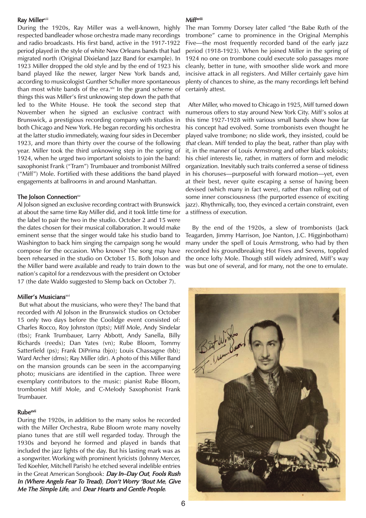#### **Ray Millerxiii**

During the 1920s, Ray Miller was a well-known, highly respected bandleader whose orchestra made many recordings and radio broadcasts. His first band, active in the 1917-1922 period played in the style of white New Orleans bands that had migrated north (Original Dixieland Jazz Band for example). In 1923 Miller dropped the old style and by the end of 1923 his band played like the newer, larger New York bands and, according to musicologist Gunther Schuller more spontaneous than most white bands of the era. $x<sub>i</sub>$  In the grand scheme of things this was Miller's first unknowing step down the path that led to the White House. He took the second step that November when he signed an exclusive contract with Brunswick, a prestigious recording company with studios in both Chicago and New York. He began recording his orchestra at the latter studio immediately, waxing four sides in December 1923, and more than thirty over the course of the following year. Miller took the third unknowing step in the spring of 1924, when he urged two important soloists to join the band: saxophonist Frank ("Tram") Trumbauer and trombonist Milfred ("Miff") Mole. Fortified with these additions the band played engagements at ballrooms in and around Manhattan.

#### The Jolson Connectionxv

Al Jolson signed an exclusive recording contract with Brunswick at about the same time Ray Miller did, and it took little time for the label to pair the two in the studio. October 2 and 15 were the dates chosen for their musical collaboration. It would make eminent sense that the singer would take his studio band to Washington to back him singing the campaign song he would compose for the occasion. Who knows? The song may have been rehearsed in the studio on October 15. Both Jolson and the Miller band were available and ready to train down to the nation's capitol for a rendezvous with the president on October 17 (the date Waldo suggested to Slemp back on October 7).

#### Miller's Musiciansxvi

But what about the musicians, who were they? The band that recorded with Al Jolson in the Brunswick studios on October 15 only two days before the Coolidge event consisted of: Charles Rocco, Roy Johnston (tpts); Miff Mole, Andy Sindelar (tbs); Frank Trumbauer, Larry Abbott, Andy Sanella, Billy Richards (reeds); Dan Yates (vn); Rube Bloom, Tommy Satterfield (ps); Frank DiPrima (bjo); Louis Chassagne (bb); Ward Archer (dms); Ray Miller (dir). A photo of this Miller Band on the mansion grounds can be seen in the accompanying photo; musicians are identified in the caption. Three were exemplary contributors to the music: pianist Rube Bloom, trombonist Miff Mole, and C-Melody Saxophonist Frank Trumbauer.

### Rubexvii

During the 1920s, in addition to the many solos he recorded with the Miller Orchestra, Rube Bloom wrote many novelty piano tunes that are still well regarded today. Through the 1930s and beyond he formed and played in bands that included the jazz lights of the day. But his lasting mark was as a songwriter. Working with prominent lyricists (Johnny Mercer, Ted Koehler, Mitchell Parish) he etched several indelible entries in the Great American Songbook: Day In-Day Out, Fools Rush In (Where Angels Fear To Tread), Don't Worry 'Bout Me, Give Me The Simple Life, and Dear Hearts and Gentle People.

#### Miff xviii

The man Tommy Dorsey later called "the Babe Ruth of the trombone" came to prominence in the Original Memphis Five—the most frequently recorded band of the early jazz period (1918-1923). When he joined Miller in the spring of 1924 no one on trombone could execute solo passages more cleanly, better in tune, with smoother slide work and more incisive attack in all registers. And Miller certainly gave him plenty of chances to shine, as the many recordings left behind certainly attest.

After Miller, who moved to Chicago in 1925, Miff turned down numerous offers to stay around New York City. Miff's solos at this time 1927-1928 with various small bands show how far his concept had evolved. Some trombonists even thought he played valve trombone; no slide work, they insisted, could be that clean. Miff tended to play the beat, rather than play with it, in the manner of Louis Armstrong and other black soloists; his chief interests lie, rather, in matters of form and melodic organization. Inevitably such traits conferred a sense of tidiness in his choruses—purposeful with forward motion—yet, even at their best, never quite escaping a sense of having been devised (which many in fact were), rather than rolling out of some inner consciousness (the purported essence of exciting jazz). Rhythmically, too, they evinced a certain constraint, even a stiffness of execution.

By the end of the 1920s, a slew of trombonists (Jack Teagarden, Jimmy Harrison, Joe Nanton, J.C. Higginbotham) many under the spell of Louis Armstrong, who had by then recorded his groundbreaking Hot Fives and Sevens, toppled the once lofty Mole. Though still widely admired, Miff's way was but one of several, and for many, not the one to emulate.

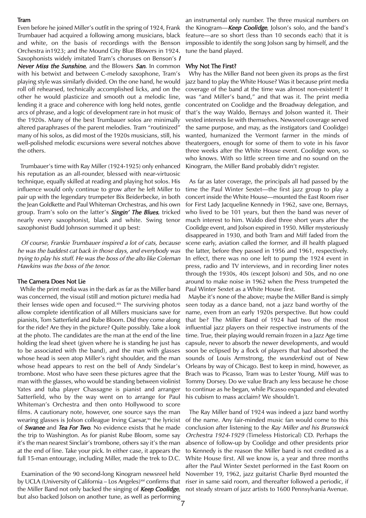#### Tram

Even before he joined Miller's outfit in the spring of 1924, Frank Trumbauer had acquired a following among musicians, black and white, on the basis of recordings with the Benson Orchestra in1923; and the Mound City Blue Blowers in 1924. Saxophonists widely imitated Tram's choruses on Benson's <sup>I</sup> Never Miss the Sunshine, and the Blowers San. In common with his betwixt and between C-melody saxophone, Tram's playing style was similarly divided. On the one hand, he would roll off rehearsed, technically accomplished licks, and on the other he would plasticize and smooth out a melodic line, lending it a grace and coherence with long held notes, gentle arcs of phrase, and a logic of development rare in hot music of the 1920s. Many of the best Trumbauer solos are minimally altered paraphrases of the parent melodies. Tram "routinized" many of his solos, as did most of the 1920s musicians, still, his well-polished melodic excursions were several notches above the others.

Trumbauer's time with Ray Miller (1924-1925) only enhanced his reputation as an all-rounder, blessed with near-virtuosic technique, equally skilled at reading and playing hot solos. His influence would only continue to grow after he left Miller to pair up with the legendary trumpeter Bix Beiderbecke, in both the Jean Goldkette and Paul Whiteman Orchestras, and his own group. Tram's solo on the latter's **Singin' The Blues**, tricked nearly every saxophonist, black and white. Swing tenor saxophonist Budd Johnson summed it up best:

Of course, Frankie Trumbauer inspired a lot of cats, because he was the baddest cat back in those days, and everybody was trying to play his stuff. He was the boss of the alto like Coleman Hawkins was the boss of the tenor.

### The Camera Does Not Lie

While the print media was in the dark as far as the Miller band was concerned, the visual (still and motion picture) media had their lenses wide open and focused.xix The surviving photos allow complete identification of all Millers musicians save for pianists, Tom Satterfield and Rube Bloom. Did they come along for the ride? Are they in the picture? Quite possibly. Take a look at the photo. The candidates are the man at the end of the line holding the lead sheet (given where he is standing he just has to be associated with the band), and the man with glasses whose head is seen atop Miller's right shoulder, and the man whose head appears to rest on the bell of Andy Sindelar's trombone. Most who have seen these pictures agree that the man with the glasses, who would be standing between violinist Yates and tuba player Chassagne is pianist and arranger Satterfield, who by the way went on to arrange for Paul Whiteman's Orchestra and then onto Hollywood to score films. A cautionary note, however, one source says the man wearing glasses is Jolson colleague Irving Caesar, $x$ <sup>x</sup> the lyricist of **Swanee** and **Tea For Two.** No evidence exists that he made the trip to Washington. As for pianist Rube Bloom, some say it's the man nearest Sinclair's trombone, others say it's the man at the end of line. Take your pick. In either case, it appears the full 15-man entourage, including Miller, made the trek to D.C.

Examination of the 90 second-long Kinogram newsreel held by UCLA (University of California – Los Angeles) $\alpha$ <sup>xi</sup> confirms that the Miller Band not only backed the singing of Keep Coolidge, but also backed Jolson on another tune, as well as performing

an instrumental only number. The three musical numbers on the Kinogram—Keep Coolidge, Jolson's solo, and the band's feature—are so short (less than 10 seconds each) that it is impossible to identify the song Jolson sang by himself, and the tune the band played.

#### Why Not The First?

Why has the Miller Band not been given its props as the first jazz band to play the White House? Was it because print media coverage of the band at the time was almost non-existent? It was "and Miller's band," and that was it. The print media concentrated on Coolidge and the Broadway delegation, and that's the way Waldo, Bernays and Jolson wanted it. Their vested interests lie with themselves. Newsreel coverage served the same purpose, and may, as the instigators (and Coolidge) wanted, humanized the Vermont farmer in the minds of theatergoers, enough for some of them to vote in his favor three weeks after the White House event. Coolidge won, so who knows. With so little screen time and no sound on the Kinogram, the Miller Band probably didn't register.

As far as later coverage, the principals all had passed by the time the Paul Winter Sextet—the first jazz group to play a concert inside the White House—mounted the East Room riser for First Lady Jacqueline Kennedy in 1962, save one, Bernays, who lived to be 101 years, but then the band was never of much interest to him. Waldo died three short years after the Coolidge event, and Jolson expired in 1950. Miller mysteriously disappeared in 1930, and both Tram and Miff faded from the scene early, aviation called the former, and ill health plagued the latter, before they passed in 1956 and 1961, respectively. In effect, there was no one left to pump the 1924 event in press, radio and TV interviews, and in recording liner notes through the 1930s, 40s (except Jolson) and 50s, and no one around to make noise in 1962 when the Press trumpeted the Paul Winter Sextet as a White House first.

Maybe it's none of the above; maybe the Miller Band is simply seen today as a dance band, not a jazz band worthy of the name, even from an early 1920s perspective. But how could that be? The Miller Band of 1924 had two of the most influential jazz players on their respective instruments of the time. True, their playing would remain frozen in a Jazz Age time capsule, never to absorb the newer developments, and would soon be eclipsed by a flock of players that had absorbed the sounds of Louis Armstrong, the wunderkind out of New Orleans by way of Chicago. Best to keep in mind, however, as Brach was to Picasso, Tram was to Lester Young, Miff was to Tommy Dorsey. Do we value Brach any less because he chose to continue as he began, while Picasso expanded and elevated his cubism to mass acclaim? We shouldn't.

The Ray Miller band of 1924 was indeed a jazz band worthy of the name. Any fair-minded music fan would come to this conclusion after listening to the Ray Miller and his Brunswick Orchestra 1924-<sup>1929</sup> (Timeless Historical) CD. Perhaps the absence of follow-up by Coolidge and other presidents prior to Kennedy is the reason the Miller band is not credited as a White House first. All we know is, a year and three months after the Paul Winter Sextet performed in the East Room on November 19, 1962, jazz guitarist Charlie Byrd mounted the riser in same said room, and thereafter followed a periodic, if not steady stream of jazz artists to 1600 Pennsylvania Avenue.